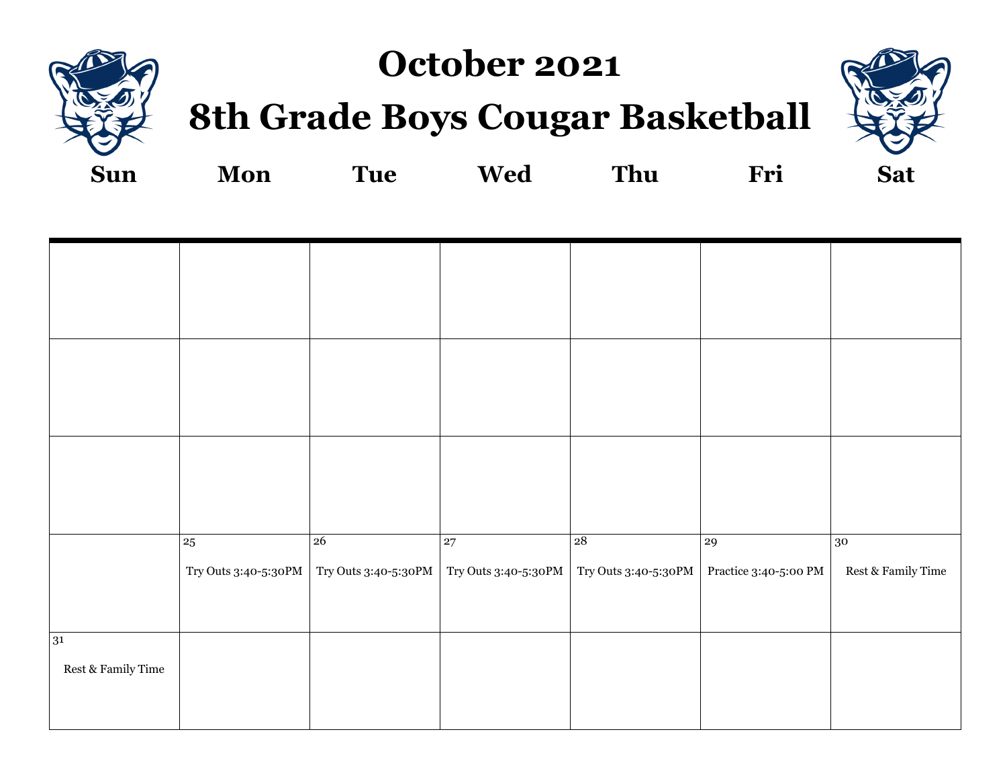

## **October 2021**

# **8th Grade Boys Cougar Basketball**



**Sun Mon Tue Wed Thu Fri Sat**

|                                                     | $\bf 25$             | 26                   | 27                   | 28                   | 29                    | 30                                  |
|-----------------------------------------------------|----------------------|----------------------|----------------------|----------------------|-----------------------|-------------------------------------|
|                                                     | Try Outs 3:40-5:30PM | Try Outs 3:40-5:30PM | Try Outs 3:40-5:30PM | Try Outs 3:40-5:30PM | Practice 3:40-5:00 PM | $\operatorname{Rest}$ & Family Time |
|                                                     |                      |                      |                      |                      |                       |                                     |
| 31                                                  |                      |                      |                      |                      |                       |                                     |
| $\operatorname{Rest} \& \operatorname{Family}$ Time |                      |                      |                      |                      |                       |                                     |
|                                                     |                      |                      |                      |                      |                       |                                     |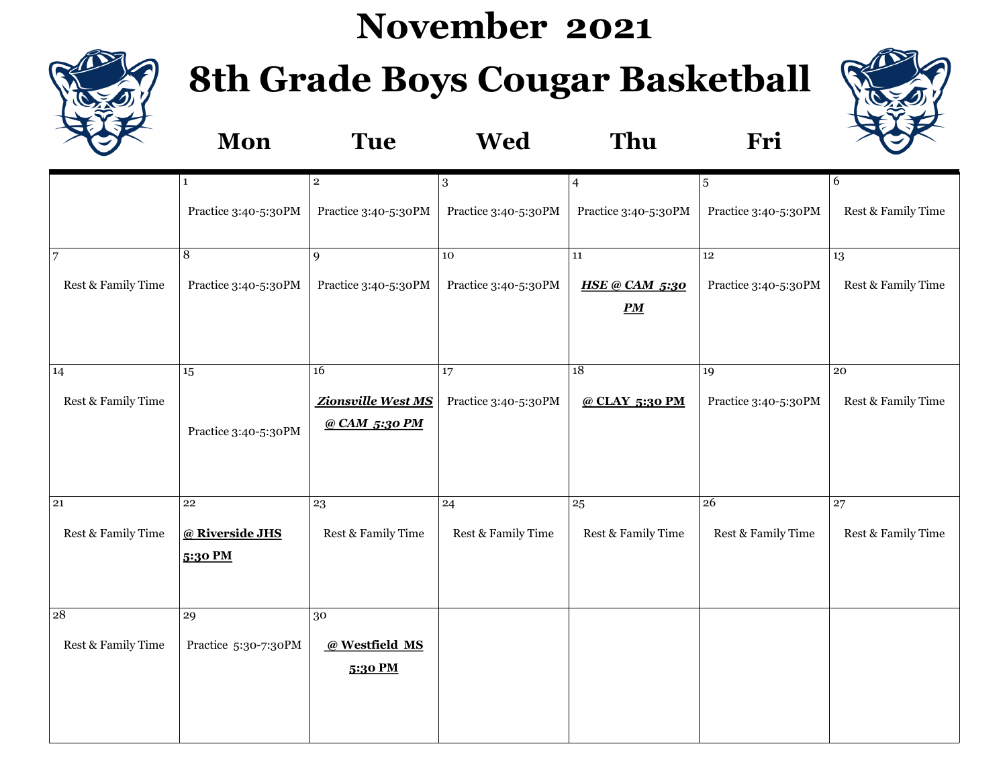# **November 2021**



# **8th Grade Boys Cougar Basketball**



|                    | Mon                        | <b>Tue</b>                | <b>Wed</b>           | Thu                                       | Fri                  |                    |
|--------------------|----------------------------|---------------------------|----------------------|-------------------------------------------|----------------------|--------------------|
|                    | $\mathbf{1}$               | $\mathbf{2}$              | $\sqrt{3}$           | $\overline{4}$                            | 5                    | 6                  |
|                    | Practice 3:40-5:30PM       | Practice 3:40-5:30PM      | Practice 3:40-5:30PM | Practice 3:40-5:30PM                      | Practice 3:40-5:30PM | Rest & Family Time |
| 7                  | 8                          | 9                         | 10                   | ${\bf 11}$                                | 12                   | 13                 |
| Rest & Family Time | Practice 3:40-5:30PM       | Practice 3:40-5:30PM      | Practice 3:40-5:30PM | <b>HSE @ CAM 5:30</b><br>$\underline{P}M$ | Practice 3:40-5:30PM | Rest & Family Time |
| 14                 | 15                         | 16                        | 17                   | 18                                        | 19                   | $\overline{20}$    |
| Rest & Family Time |                            | Zionsville West MS        | Practice 3:40-5:30PM | @ CLAY 5:30 PM                            | Practice 3:40-5:30PM | Rest & Family Time |
|                    | Practice 3:40-5:30PM       | @ CAM 5:30 PM             |                      |                                           |                      |                    |
| 21                 | ${\bf 22}$                 | 23                        | 24                   | 25                                        | ${\bf 26}$           | 27                 |
| Rest & Family Time | @ Riverside JHS<br>5:30 PM | Rest & Family Time        | Rest & Family Time   | Rest & Family Time                        | Rest & Family Time   | Rest & Family Time |
| $\overline{28}$    | 29                         | 30                        |                      |                                           |                      |                    |
| Rest & Family Time | Practice 5:30-7:30PM       | @ Westfield MS<br>5:30 PM |                      |                                           |                      |                    |
|                    |                            |                           |                      |                                           |                      |                    |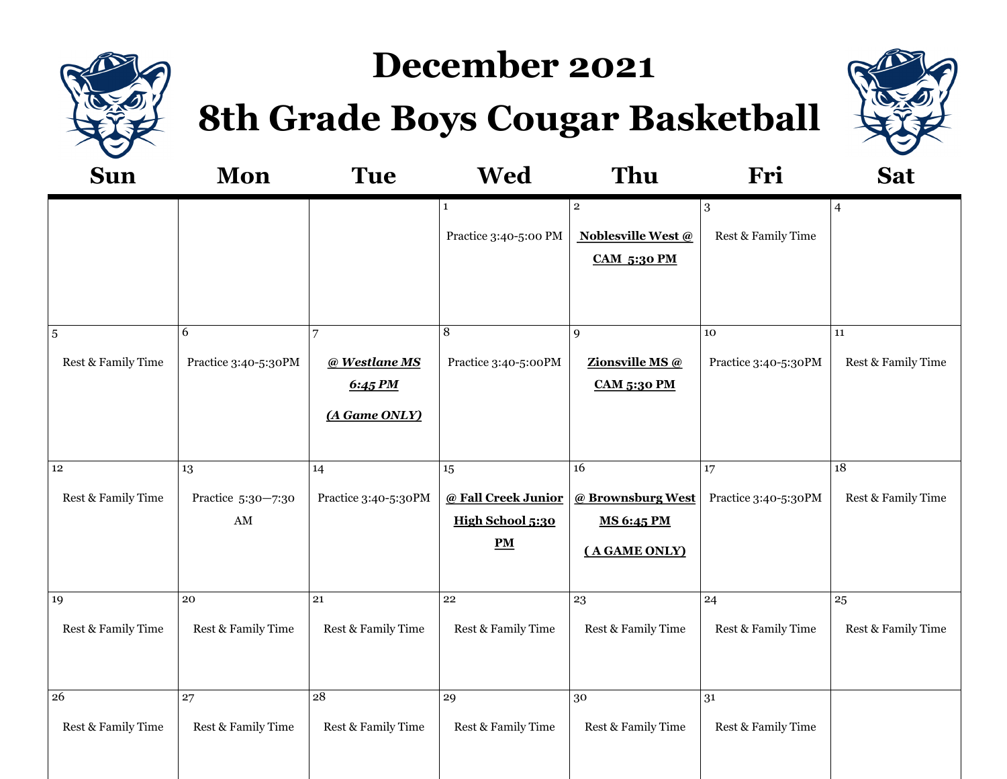

# **December 2021**

**8th Grade Boys Cougar Basketball**



| <b>Sun</b>                           | Mon                                                | <b>Tue</b>                                     | <b>Wed</b>                                                     | Thu                                                                        | Fri                        | <b>Sat</b>                            |
|--------------------------------------|----------------------------------------------------|------------------------------------------------|----------------------------------------------------------------|----------------------------------------------------------------------------|----------------------------|---------------------------------------|
|                                      |                                                    |                                                | $\mathbf{1}$<br>Practice 3:40-5:00 PM                          | $\overline{2}$<br>Noblesville West @<br><b>CAM 5:30 PM</b>                 | 3<br>Rest & Family Time    | $\overline{4}$                        |
| $\overline{5}$<br>Rest & Family Time | 6<br>Practice 3:40-5:30PM                          | 7<br>@ Westlane MS<br>6:45 PM<br>(A Game ONLY) | 8<br>Practice 3:40-5:00PM                                      | 9<br>Zionsville MS @<br><b>CAM 5:30 PM</b>                                 | 10<br>Practice 3:40-5:30PM | 11<br>Rest & Family Time              |
| $12\,$<br>Rest & Family Time         | 13<br>Practice 5:30-7:30<br>$\mathbf{A}\mathbf{M}$ | 14<br>Practice 3:40-5:30PM                     | $15\,$<br>@ Fall Creek Junior<br>High School 5:30<br><b>PM</b> | $\overline{16}$<br>@ Brownsburg West<br><b>MS 6:45 PM</b><br>(A GAME ONLY) | 17<br>Practice 3:40-5:30PM | $\overline{18}$<br>Rest & Family Time |
| 19<br>Rest & Family Time             | 20<br>Rest & Family Time                           | ${\bf 21}$<br>Rest & Family Time               | 22<br>Rest & Family Time                                       | 23<br>Rest & Family Time                                                   | 24<br>Rest & Family Time   | 25<br>Rest & Family Time              |
| 26<br>Rest & Family Time             | 27<br>Rest & Family Time                           | 28<br>Rest & Family Time                       | 29<br>Rest & Family Time                                       | 30<br>Rest & Family Time                                                   | 31<br>Rest & Family Time   |                                       |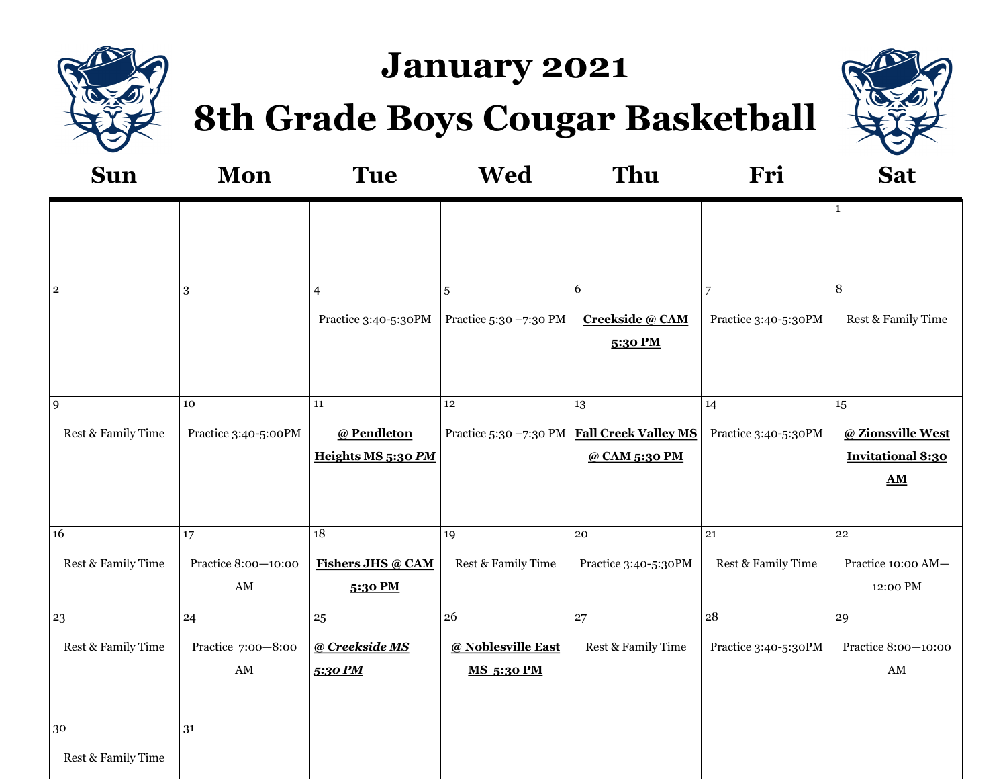

# **January 2021**

**8th Grade Boys Cougar Basketball**



| <b>Sun</b>         | <b>Mon</b>                                    | <b>Tue</b>                          | <b>Wed</b>                              | Thu                                           | Fri                  | <b>Sat</b>                                            |
|--------------------|-----------------------------------------------|-------------------------------------|-----------------------------------------|-----------------------------------------------|----------------------|-------------------------------------------------------|
|                    |                                               |                                     |                                         |                                               |                      | $\mathbf{1}$                                          |
| $\overline{2}$     | 3                                             | $\overline{4}$                      | 5                                       | 6                                             | $\overline{7}$       | 8                                                     |
|                    |                                               | Practice 3:40-5:30PM                | Practice 5:30 -7:30 PM                  | Creekside @ CAM<br>5:30 PM                    | Practice 3:40-5:30PM | Rest & Family Time                                    |
| $\overline{9}$     | ${\bf 10}$                                    | 11                                  | $12\,$                                  | 13                                            | 14                   | $15\,$                                                |
| Rest & Family Time | Practice 3:40-5:00PM                          | @ Pendleton                         |                                         | Practice 5:30 -7:30 PM   Fall Creek Valley MS | Practice 3:40-5:30PM | @ Zionsville West                                     |
|                    |                                               | Heights MS 5:30 PM                  |                                         | @ CAM 5:30 PM                                 |                      | <b>Invitational 8:30</b><br>$\underline{\mathbf{AM}}$ |
| 16                 | $17\,$                                        | 18                                  | 19                                      | 20                                            | ${\bf 21}$           | 22                                                    |
| Rest & Family Time | Practice 8:00-10:00<br>$\mathbf{A}\mathbf{M}$ | <b>Fishers JHS @ CAM</b><br>5:30 PM | Rest & Family Time                      | Practice 3:40-5:30PM                          | Rest & Family Time   | Practice 10:00 AM-<br>12:00 PM                        |
| 23                 | 24                                            | 25                                  | $\overline{26}$                         | $\overline{27}$                               | 28                   | 29                                                    |
| Rest & Family Time | Practice 7:00-8:00<br>$\mathbf{A}\mathbf{M}$  | @ Creekside MS<br>5:30 PM           | @ Noblesville East<br><b>MS 5:30 PM</b> | Rest & Family Time                            | Practice 3:40-5:30PM | Practice 8:00-10:00<br>$\mathbf{A}\mathbf{M}$         |
| $30\,$             | 31                                            |                                     |                                         |                                               |                      |                                                       |
| Rest & Family Time |                                               |                                     |                                         |                                               |                      |                                                       |